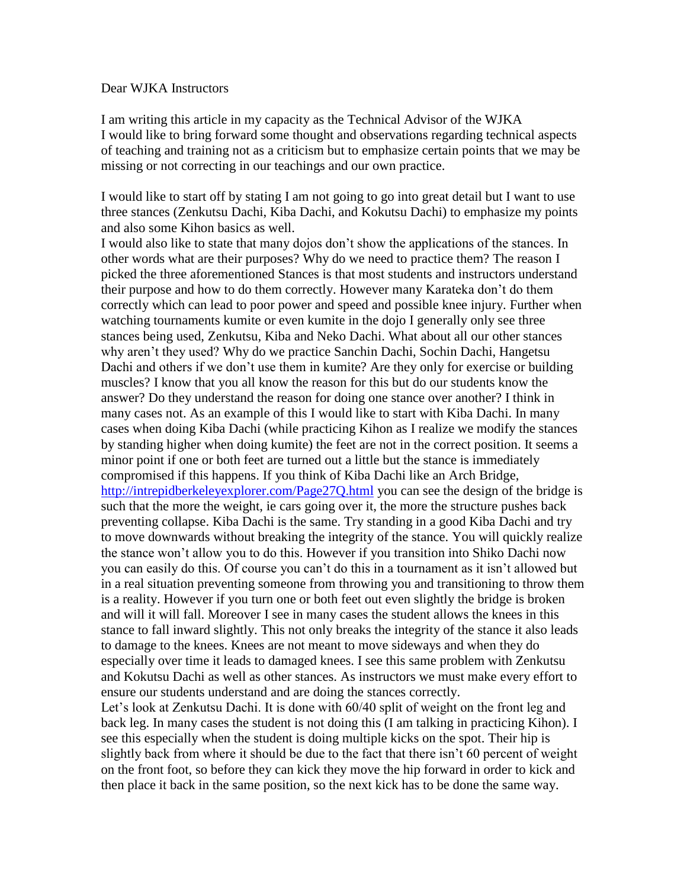## Dear WJKA Instructors

I am writing this article in my capacity as the Technical Advisor of the WJKA I would like to bring forward some thought and observations regarding technical aspects of teaching and training not as a criticism but to emphasize certain points that we may be missing or not correcting in our teachings and our own practice.

I would like to start off by stating I am not going to go into great detail but I want to use three stances (Zenkutsu Dachi, Kiba Dachi, and Kokutsu Dachi) to emphasize my points and also some Kihon basics as well.

I would also like to state that many dojos don't show the applications of the stances. In other words what are their purposes? Why do we need to practice them? The reason I picked the three aforementioned Stances is that most students and instructors understand their purpose and how to do them correctly. However many Karateka don't do them correctly which can lead to poor power and speed and possible knee injury. Further when watching tournaments kumite or even kumite in the dojo I generally only see three stances being used, Zenkutsu, Kiba and Neko Dachi. What about all our other stances why aren't they used? Why do we practice Sanchin Dachi, Sochin Dachi, Hangetsu Dachi and others if we don't use them in kumite? Are they only for exercise or building muscles? I know that you all know the reason for this but do our students know the answer? Do they understand the reason for doing one stance over another? I think in many cases not. As an example of this I would like to start with Kiba Dachi. In many cases when doing Kiba Dachi (while practicing Kihon as I realize we modify the stances by standing higher when doing kumite) the feet are not in the correct position. It seems a minor point if one or both feet are turned out a little but the stance is immediately compromised if this happens. If you think of Kiba Dachi like an Arch Bridge, <http://intrepidberkeleyexplorer.com/Page27Q.html> you can see the design of the bridge is such that the more the weight, ie cars going over it, the more the structure pushes back preventing collapse. Kiba Dachi is the same. Try standing in a good Kiba Dachi and try to move downwards without breaking the integrity of the stance. You will quickly realize the stance won't allow you to do this. However if you transition into Shiko Dachi now you can easily do this. Of course you can't do this in a tournament as it isn't allowed but in a real situation preventing someone from throwing you and transitioning to throw them is a reality. However if you turn one or both feet out even slightly the bridge is broken and will it will fall. Moreover I see in many cases the student allows the knees in this stance to fall inward slightly. This not only breaks the integrity of the stance it also leads to damage to the knees. Knees are not meant to move sideways and when they do especially over time it leads to damaged knees. I see this same problem with Zenkutsu and Kokutsu Dachi as well as other stances. As instructors we must make every effort to ensure our students understand and are doing the stances correctly.

Let's look at Zenkutsu Dachi. It is done with 60/40 split of weight on the front leg and back leg. In many cases the student is not doing this (I am talking in practicing Kihon). I see this especially when the student is doing multiple kicks on the spot. Their hip is slightly back from where it should be due to the fact that there isn't 60 percent of weight on the front foot, so before they can kick they move the hip forward in order to kick and then place it back in the same position, so the next kick has to be done the same way.